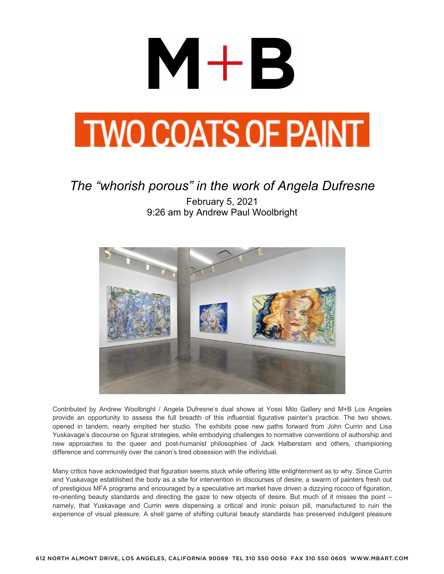

#### **TWO COATS OF PAINT**

#### *The "whorish porous" in the work of Angela Dufresne*

February 5, 2021 9:26 am by Andrew Paul Woolbright



Contributed by Andrew Woolbright / Angela Dufresne's dual shows at Yossi Milo Gallery and M+B Los Angeles provide an opportunity to assess the full breadth of this influential figurative painter's practice. The two shows, opened in tandem, nearly emptied her studio. The exhibits pose new paths forward from John Currin and Lisa Yuskavage's discourse on figural strategies, while embodying challenges to normative conventions of authorship and new approaches to the queer and post-humanist philosophies of Jack Halberstam and others, championing difference and community over the canon's tired obsession with the individual.

Many critics have acknowledged that figuration seems stuck while offering little enlightenment as to why. Since Currin and Yuskavage established the body as a site for intervention in discourses of desire, a swarm of painters fresh out of prestigious MFA programs and encouraged by a speculative art market have driven a dizzying rococo of figuration, re-orienting beauty standards and directing the gaze to new objects of desire. But much of it misses the point – namely, that Yuskavage and Currin were dispensing a critical and ironic poison pill, manufactured to ruin the experience of visual pleasure. A shell game of shifting cultural beauty standards has preserved indulgent pleasure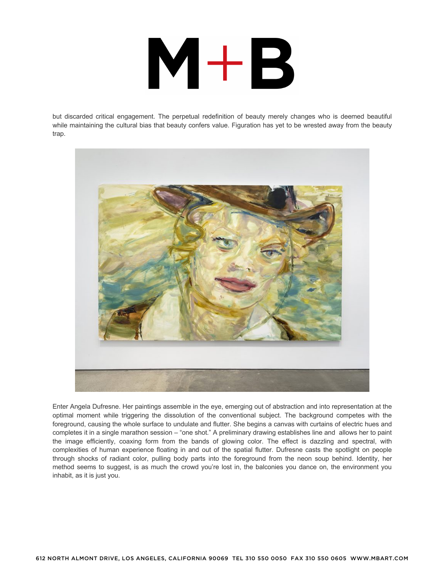# $M+B$

but discarded critical engagement. The perpetual redefinition of beauty merely changes who is deemed beautiful while maintaining the cultural bias that beauty confers value. Figuration has yet to be wrested away from the beauty trap.



Enter Angela Dufresne. Her paintings assemble in the eye, emerging out of abstraction and into representation at the optimal moment while triggering the dissolution of the conventional subject. The background competes with the foreground, causing the whole surface to undulate and flutter. She begins a canvas with curtains of electric hues and completes it in a single marathon session – "one shot." A preliminary drawing establishes line and allows her to paint the image efficiently, coaxing form from the bands of glowing color. The effect is dazzling and spectral, with complexities of human experience floating in and out of the spatial flutter. Dufresne casts the spotlight on people through shocks of radiant color, pulling body parts into the foreground from the neon soup behind. Identity, her method seems to suggest, is as much the crowd you're lost in, the balconies you dance on, the environment you inhabit, as it is just you.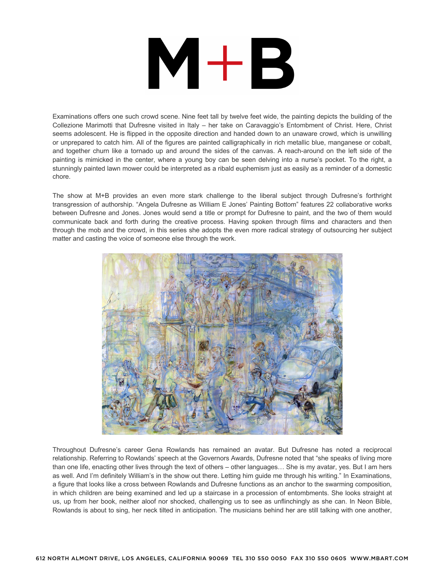# $M+B$

Examinations offers one such crowd scene. Nine feet tall by twelve feet wide, the painting depicts the building of the Collezione Marimotti that Dufresne visited in Italy – her take on Caravaggio's Entombment of Christ. Here, Christ seems adolescent. He is flipped in the opposite direction and handed down to an unaware crowd, which is unwilling or unprepared to catch him. All of the figures are painted calligraphically in rich metallic blue, manganese or cobalt, and together churn like a tornado up and around the sides of the canvas. A reach-around on the left side of the painting is mimicked in the center, where a young boy can be seen delving into a nurse's pocket. To the right, a stunningly painted lawn mower could be interpreted as a ribald euphemism just as easily as a reminder of a domestic chore.

The show at M+B provides an even more stark challenge to the liberal subject through Dufresne's forthright transgression of authorship. "Angela Dufresne as William E Jones' Painting Bottom" features 22 collaborative works between Dufresne and Jones. Jones would send a title or prompt for Dufresne to paint, and the two of them would communicate back and forth during the creative process. Having spoken through films and characters and then through the mob and the crowd, in this series she adopts the even more radical strategy of outsourcing her subject matter and casting the voice of someone else through the work.



Throughout Dufresne's career Gena Rowlands has remained an avatar. But Dufresne has noted a reciprocal relationship. Referring to Rowlands' speech at the Governors Awards, Dufresne noted that "she speaks of living more than one life, enacting other lives through the text of others – other languages… She is my avatar, yes. But I am hers as well. And I'm definitely William's in the show out there. Letting him guide me through his writing." In Examinations, a figure that looks like a cross between Rowlands and Dufresne functions as an anchor to the swarming composition, in which children are being examined and led up a staircase in a procession of entombments. She looks straight at us, up from her book, neither aloof nor shocked, challenging us to see as unflinchingly as she can. In Neon Bible, Rowlands is about to sing, her neck tilted in anticipation. The musicians behind her are still talking with one another,